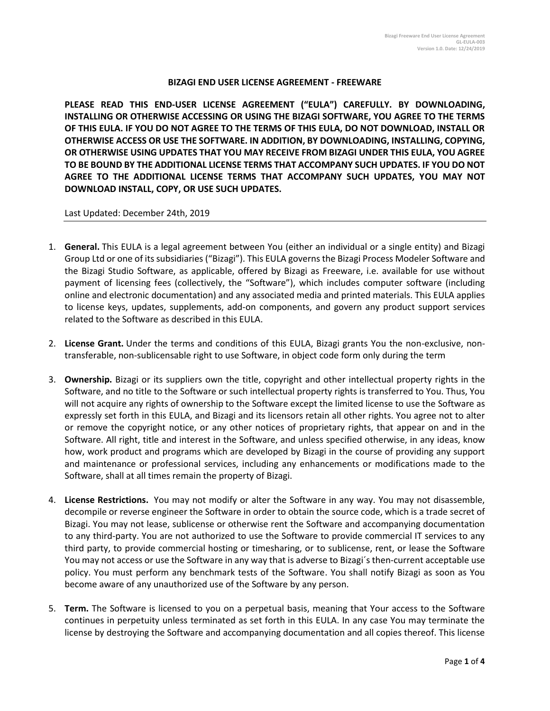## **BIZAGI END USER LICENSE AGREEMENT - FREEWARE**

**PLEASE READ THIS END-USER LICENSE AGREEMENT ("EULA") CAREFULLY. BY DOWNLOADING, INSTALLING OR OTHERWISE ACCESSING OR USING THE BIZAGI SOFTWARE, YOU AGREE TO THE TERMS OF THIS EULA. IF YOU DO NOT AGREE TO THE TERMS OF THIS EULA, DO NOT DOWNLOAD, INSTALL OR OTHERWISE ACCESS OR USE THE SOFTWARE. IN ADDITION, BY DOWNLOADING, INSTALLING, COPYING, OR OTHERWISE USING UPDATES THAT YOU MAY RECEIVE FROM BIZAGI UNDER THIS EULA, YOU AGREE TO BE BOUND BY THE ADDITIONAL LICENSE TERMS THAT ACCOMPANY SUCH UPDATES. IF YOU DO NOT AGREE TO THE ADDITIONAL LICENSE TERMS THAT ACCOMPANY SUCH UPDATES, YOU MAY NOT DOWNLOAD INSTALL, COPY, OR USE SUCH UPDATES.** 

Last Updated: December 24th, 2019

- 1. **General.** This EULA is a legal agreement between You (either an individual or a single entity) and Bizagi Group Ltd or one of its subsidiaries ("Bizagi"). This EULA governs the Bizagi Process Modeler Software and the Bizagi Studio Software, as applicable, offered by Bizagi as Freeware, i.e. available for use without payment of licensing fees (collectively, the "Software"), which includes computer software (including online and electronic documentation) and any associated media and printed materials. This EULA applies to license keys, updates, supplements, add-on components, and govern any product support services related to the Software as described in this EULA.
- 2. **License Grant.** Under the terms and conditions of this EULA, Bizagi grants You the non-exclusive, nontransferable, non-sublicensable right to use Software, in object code form only during the term
- 3. **Ownership.** Bizagi or its suppliers own the title, copyright and other intellectual property rights in the Software, and no title to the Software or such intellectual property rights is transferred to You. Thus, You will not acquire any rights of ownership to the Software except the limited license to use the Software as expressly set forth in this EULA, and Bizagi and its licensors retain all other rights. You agree not to alter or remove the copyright notice, or any other notices of proprietary rights, that appear on and in the Software. All right, title and interest in the Software, and unless specified otherwise, in any ideas, know how, work product and programs which are developed by Bizagi in the course of providing any support and maintenance or professional services, including any enhancements or modifications made to the Software, shall at all times remain the property of Bizagi.
- 4. **License Restrictions.** You may not modify or alter the Software in any way. You may not disassemble, decompile or reverse engineer the Software in order to obtain the source code, which is a trade secret of Bizagi. You may not lease, sublicense or otherwise rent the Software and accompanying documentation to any third-party. You are not authorized to use the Software to provide commercial IT services to any third party, to provide commercial hosting or timesharing, or to sublicense, rent, or lease the Software You may not access or use the Software in any way that is adverse to Bizagi´s then-current acceptable use policy. You must perform any benchmark tests of the Software. You shall notify Bizagi as soon as You become aware of any unauthorized use of the Software by any person.
- 5. **Term.** The Software is licensed to you on a perpetual basis, meaning that Your access to the Software continues in perpetuity unless terminated as set forth in this EULA. In any case You may terminate the license by destroying the Software and accompanying documentation and all copies thereof. This license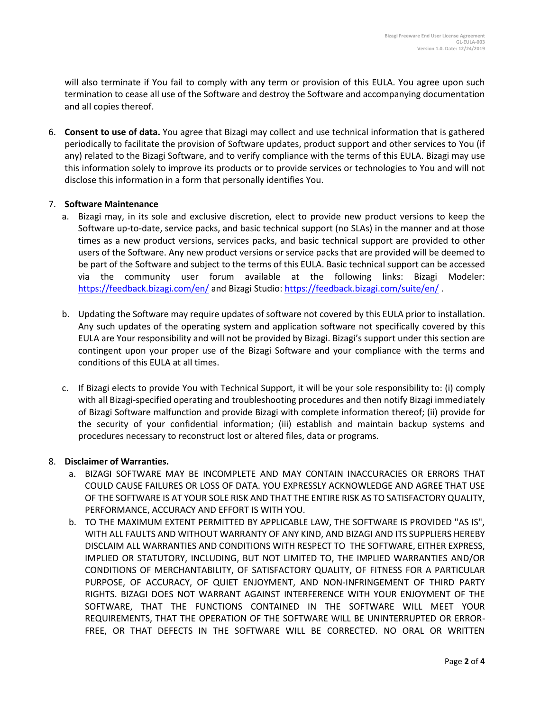will also terminate if You fail to comply with any term or provision of this EULA. You agree upon such termination to cease all use of the Software and destroy the Software and accompanying documentation and all copies thereof.

6. **Consent to use of data.** You agree that Bizagi may collect and use technical information that is gathered periodically to facilitate the provision of Software updates, product support and other services to You (if any) related to the Bizagi Software, and to verify compliance with the terms of this EULA. Bizagi may use this information solely to improve its products or to provide services or technologies to You and will not disclose this information in a form that personally identifies You.

## 7. **Software Maintenance**

- a. Bizagi may, in its sole and exclusive discretion, elect to provide new product versions to keep the Software up-to-date, service packs, and basic technical support (no SLAs) in the manner and at those times as a new product versions, services packs, and basic technical support are provided to other users of the Software. Any new product versions or service packs that are provided will be deemed to be part of the Software and subject to the terms of this EULA. Basic technical support can be accessed via the community user forum available at the following links: Bizagi Modeler: <https://feedback.bizagi.com/en/> and Bizagi Studio:<https://feedback.bizagi.com/suite/en/> .
- b. Updating the Software may require updates of software not covered by this EULA prior to installation. Any such updates of the operating system and application software not specifically covered by this EULA are Your responsibility and will not be provided by Bizagi. Bizagi's support under this section are contingent upon your proper use of the Bizagi Software and your compliance with the terms and conditions of this EULA at all times.
- c. If Bizagi elects to provide You with Technical Support, it will be your sole responsibility to: (i) comply with all Bizagi-specified operating and troubleshooting procedures and then notify Bizagi immediately of Bizagi Software malfunction and provide Bizagi with complete information thereof; (ii) provide for the security of your confidential information; (iii) establish and maintain backup systems and procedures necessary to reconstruct lost or altered files, data or programs.

## 8. **Disclaimer of Warranties.**

- a. BIZAGI SOFTWARE MAY BE INCOMPLETE AND MAY CONTAIN INACCURACIES OR ERRORS THAT COULD CAUSE FAILURES OR LOSS OF DATA. YOU EXPRESSLY ACKNOWLEDGE AND AGREE THAT USE OF THE SOFTWARE IS AT YOUR SOLE RISK AND THAT THE ENTIRE RISK AS TO SATISFACTORY QUALITY, PERFORMANCE, ACCURACY AND EFFORT IS WITH YOU.
- b. TO THE MAXIMUM EXTENT PERMITTED BY APPLICABLE LAW, THE SOFTWARE IS PROVIDED "AS IS", WITH ALL FAULTS AND WITHOUT WARRANTY OF ANY KIND, AND BIZAGI AND ITS SUPPLIERS HEREBY DISCLAIM ALL WARRANTIES AND CONDITIONS WITH RESPECT TO THE SOFTWARE, EITHER EXPRESS, IMPLIED OR STATUTORY, INCLUDING, BUT NOT LIMITED TO, THE IMPLIED WARRANTIES AND/OR CONDITIONS OF MERCHANTABILITY, OF SATISFACTORY QUALITY, OF FITNESS FOR A PARTICULAR PURPOSE, OF ACCURACY, OF QUIET ENJOYMENT, AND NON-INFRINGEMENT OF THIRD PARTY RIGHTS. BIZAGI DOES NOT WARRANT AGAINST INTERFERENCE WITH YOUR ENJOYMENT OF THE SOFTWARE, THAT THE FUNCTIONS CONTAINED IN THE SOFTWARE WILL MEET YOUR REQUIREMENTS, THAT THE OPERATION OF THE SOFTWARE WILL BE UNINTERRUPTED OR ERROR-FREE, OR THAT DEFECTS IN THE SOFTWARE WILL BE CORRECTED. NO ORAL OR WRITTEN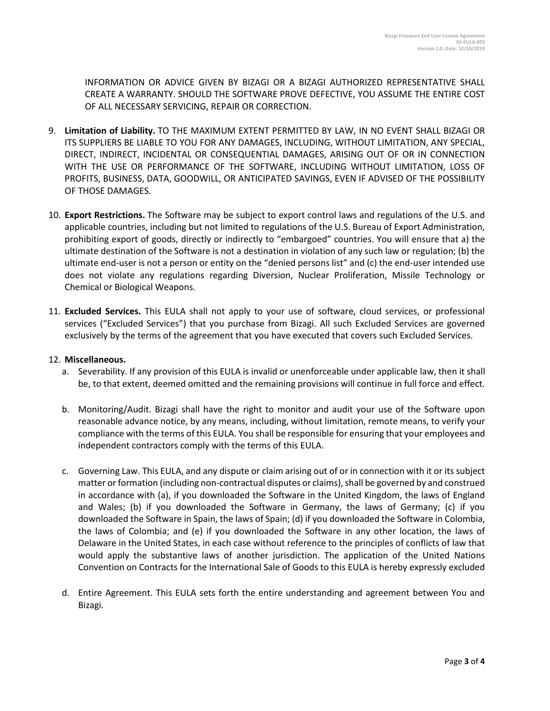INFORMATION OR ADVICE GIVEN BY BIZAGI OR A BIZAGI AUTHORIZED REPRESENTATIVE SHALL CREATE A WARRANTY. SHOULD THE SOFTWARE PROVE DEFECTIVE, YOU ASSUME THE ENTIRE COST OF ALL NECESSARY SERVICING, REPAIR OR CORRECTION.

- 9. **Limitation of Liability.** TO THE MAXIMUM EXTENT PERMITTED BY LAW, IN NO EVENT SHALL BIZAGI OR ITS SUPPLIERS BE LIABLE TO YOU FOR ANY DAMAGES, INCLUDING, WITHOUT LIMITATION, ANY SPECIAL, DIRECT, INDIRECT, INCIDENTAL OR CONSEQUENTIAL DAMAGES, ARISING OUT OF OR IN CONNECTION WITH THE USE OR PERFORMANCE OF THE SOFTWARE, INCLUDING WITHOUT LIMITATION, LOSS OF PROFITS, BUSINESS, DATA, GOODWILL, OR ANTICIPATED SAVINGS, EVEN IF ADVISED OF THE POSSIBILITY OF THOSE DAMAGES.
- 10. **Export Restrictions.** The Software may be subject to export control laws and regulations of the U.S. and applicable countries, including but not limited to regulations of the U.S. Bureau of Export Administration, prohibiting export of goods, directly or indirectly to "embargoed" countries. You will ensure that a) the ultimate destination of the Software is not a destination in violation of any such law or regulation; (b) the ultimate end-user is not a person or entity on the "denied persons list" and (c) the end-user intended use does not violate any regulations regarding Diversion, Nuclear Proliferation, Missile Technology or Chemical or Biological Weapons.
- 11. **Excluded Services.** This EULA shall not apply to your use of software, cloud services, or professional services ("Excluded Services") that you purchase from Bizagi. All such Excluded Services are governed exclusively by the terms of the agreement that you have executed that covers such Excluded Services.

## 12. **Miscellaneous.**

- a. Severability. If any provision of this EULA is invalid or unenforceable under applicable law, then it shall be, to that extent, deemed omitted and the remaining provisions will continue in full force and effect.
- b. Monitoring/Audit. Bizagi shall have the right to monitor and audit your use of the Software upon reasonable advance notice, by any means, including, without limitation, remote means, to verify your compliance with the terms of this EULA. You shall be responsible for ensuring that your employees and independent contractors comply with the terms of this EULA.
- c. Governing Law. This EULA, and any dispute or claim arising out of or in connection with it or its subject matter or formation (including non-contractual disputes or claims), shall be governed by and construed in accordance with (a), if you downloaded the Software in the United Kingdom, the laws of England and Wales; (b) if you downloaded the Software in Germany, the laws of Germany; (c) if you downloaded the Software in Spain, the laws of Spain; (d) if you downloaded the Software in Colombia, the laws of Colombia; and (e) if you downloaded the Software in any other location, the laws of Delaware in the United States, in each case without reference to the principles of conflicts of law that would apply the substantive laws of another jurisdiction. The application of the United Nations Convention on Contracts for the International Sale of Goods to this EULA is hereby expressly excluded
- d. Entire Agreement. This EULA sets forth the entire understanding and agreement between You and Bizagi.